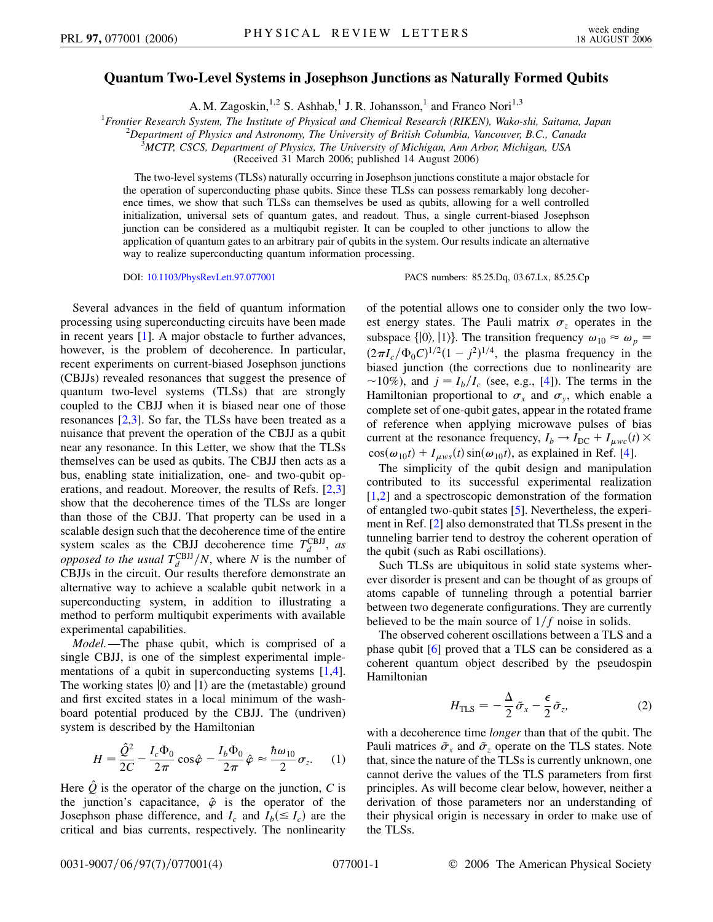## **Quantum Two-Level Systems in Josephson Junctions as Naturally Formed Qubits**

A. M. Zagoskin,  $^{1,2}$  S. Ashhab,<sup>1</sup> J. R. Johansson,<sup>1</sup> and Franco Nori<sup>1,3</sup>

<sup>1</sup> Frontier Research System, The Institute of Physical and Chemical Research (RIKEN), Wako-shi, Saitama, Japan<br><sup>2</sup> Department of Physics and Astronomy The University of British Columbia, Vancouver B.C., Canada

*Department of Physics and Astronomy, The University of British Columbia, Vancouver, B.C., Canada* <sup>3</sup>

*MCTP, CSCS, Department of Physics, The University of Michigan, Ann Arbor, Michigan, USA*

(Received 31 March 2006; published 14 August 2006)

The two-level systems (TLSs) naturally occurring in Josephson junctions constitute a major obstacle for the operation of superconducting phase qubits. Since these TLSs can possess remarkably long decoherence times, we show that such TLSs can themselves be used as qubits, allowing for a well controlled initialization, universal sets of quantum gates, and readout. Thus, a single current-biased Josephson junction can be considered as a multiqubit register. It can be coupled to other junctions to allow the application of quantum gates to an arbitrary pair of qubits in the system. Our results indicate an alternative way to realize superconducting quantum information processing.

DOI: [10.1103/PhysRevLett.97.077001](http://dx.doi.org/10.1103/PhysRevLett.97.077001) PACS numbers: 85.25.Dq, 03.67.Lx, 85.25.Cp

Several advances in the field of quantum information processing using superconducting circuits have been made in recent years [[1\]](#page-3-0). A major obstacle to further advances, however, is the problem of decoherence. In particular, recent experiments on current-biased Josephson junctions (CBJJs) revealed resonances that suggest the presence of quantum two-level systems (TLSs) that are strongly coupled to the CBJJ when it is biased near one of those resonances  $[2,3]$  $[2,3]$  $[2,3]$  $[2,3]$ . So far, the TLSs have been treated as a nuisance that prevent the operation of the CBJJ as a qubit near any resonance. In this Letter, we show that the TLSs themselves can be used as qubits. The CBJJ then acts as a bus, enabling state initialization, one- and two-qubit operations, and readout. Moreover, the results of Refs. [\[2](#page-3-1)[,3\]](#page-3-2) show that the decoherence times of the TLSs are longer than those of the CBJJ. That property can be used in a scalable design such that the decoherence time of the entire system scales as the CBJJ decoherence time  $T_d^{\text{CBJJ}}$ , *as opposed to the usual*  $T_d^{\text{CBJJ}}/N$ , where *N* is the number of CBJJs in the circuit. Our results therefore demonstrate an alternative way to achieve a scalable qubit network in a superconducting system, in addition to illustrating a method to perform multiqubit experiments with available experimental capabilities.

*Model.*—The phase qubit, which is comprised of a single CBJJ, is one of the simplest experimental implementations of a qubit in superconducting systems [[1](#page-3-0),[4\]](#page-3-3). The working states  $|0\rangle$  and  $|1\rangle$  are the (metastable) ground and first excited states in a local minimum of the washboard potential produced by the CBJJ. The (undriven) system is described by the Hamiltonian

<span id="page-0-0"></span>
$$
H = \frac{\hat{Q}^2}{2C} - \frac{I_c \Phi_0}{2\pi} \cos \hat{\varphi} - \frac{I_b \Phi_0}{2\pi} \hat{\varphi} \approx \frac{\hbar \omega_{10}}{2} \sigma_z.
$$
 (1)

Here  $\hat{Q}$  is the operator of the charge on the junction,  $C$  is the junction's capacitance,  $\hat{\varphi}$  is the operator of the Josephson phase difference, and  $I_c$  and  $I_b (\leq I_c)$  are the critical and bias currents, respectively. The nonlinearity of the potential allows one to consider only the two lowest energy states. The Pauli matrix  $\sigma_z$  operates in the subspace { $|0\rangle$ ,  $|1\rangle$ }. The transition frequency  $\omega_{10} \approx \omega_p$  =  $(2\pi I_c/\Phi_0 C)^{1/2}(1-j^2)^{1/4}$ , the plasma frequency in the biased junction (the corrections due to nonlinearity are  $\sim$ 10%), and  $j = I_b/I_c$  (see, e.g., [\[4](#page-3-3)]). The terms in the Hamiltonian proportional to  $\sigma_x$  and  $\sigma_y$ , which enable a complete set of one-qubit gates, appear in the rotated frame of reference when applying microwave pulses of bias current at the resonance frequency,  $I_b \rightarrow I_{DC} + I_{\mu \nu c}(t) \times$  $cos(\omega_{10}t) + I_{\mu\text{ws}}(t) sin(\omega_{10}t)$ , as explained in Ref. [[4](#page-3-3)].

The simplicity of the qubit design and manipulation contributed to its successful experimental realization [\[1,](#page-3-0)[2](#page-3-1)] and a spectroscopic demonstration of the formation of entangled two-qubit states [\[5](#page-3-4)]. Nevertheless, the experiment in Ref. [\[2](#page-3-1)] also demonstrated that TLSs present in the tunneling barrier tend to destroy the coherent operation of the qubit (such as Rabi oscillations).

Such TLSs are ubiquitous in solid state systems wherever disorder is present and can be thought of as groups of atoms capable of tunneling through a potential barrier between two degenerate configurations. They are currently believed to be the main source of  $1/f$  noise in solids.

The observed coherent oscillations between a TLS and a phase qubit [\[6\]](#page-3-5) proved that a TLS can be considered as a coherent quantum object described by the pseudospin Hamiltonian

$$
H_{\rm TLS} = -\frac{\Delta}{2}\tilde{\sigma}_x - \frac{\epsilon}{2}\tilde{\sigma}_z,\tag{2}
$$

with a decoherence time *longer* than that of the qubit. The Pauli matrices  $\tilde{\sigma}_x$  and  $\tilde{\sigma}_z$  operate on the TLS states. Note that, since the nature of the TLSs is currently unknown, one cannot derive the values of the TLS parameters from first principles. As will become clear below, however, neither a derivation of those parameters nor an understanding of their physical origin is necessary in order to make use of the TLSs.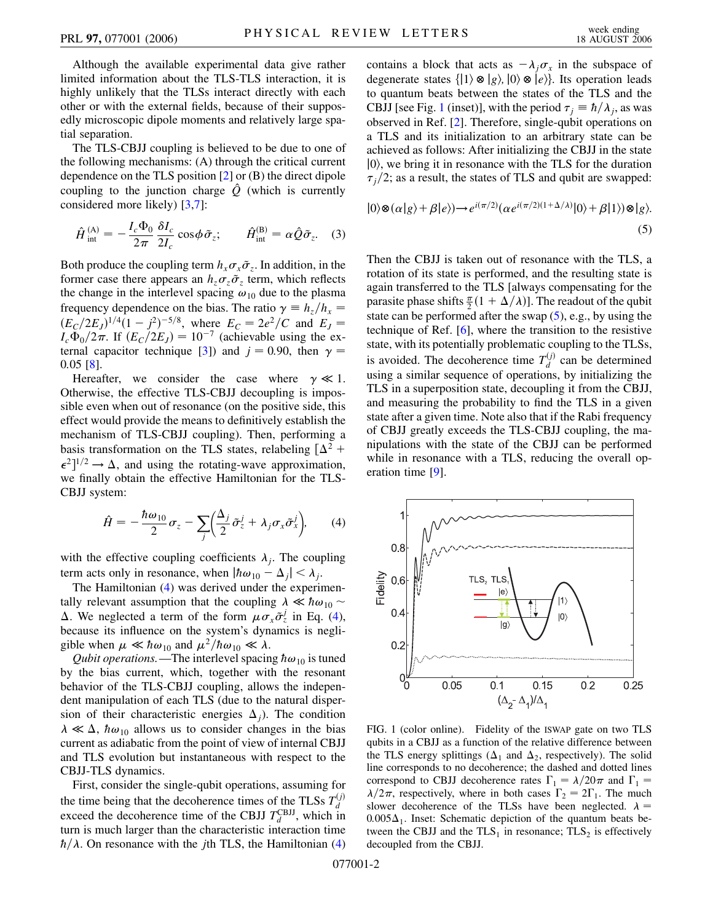Although the available experimental data give rather limited information about the TLS-TLS interaction, it is highly unlikely that the TLSs interact directly with each other or with the external fields, because of their supposedly microscopic dipole moments and relatively large spatial separation.

The TLS-CBJJ coupling is believed to be due to one of the following mechanisms: (A) through the critical current dependence on the TLS position [[2\]](#page-3-1) or (B) the direct dipole coupling to the junction charge  $\hat{Q}$  (which is currently considered more likely) [[3](#page-3-2),[7](#page-3-6)]:

$$
\hat{H}^{(\mathrm{A})}_{\mathrm{int}} = -\frac{I_c \Phi_0}{2\pi} \frac{\delta I_c}{2I_c} \cos \phi \tilde{\sigma}_z; \qquad \hat{H}^{(\mathrm{B})}_{\mathrm{int}} = \alpha \hat{Q} \tilde{\sigma}_z. \quad (3)
$$

Both produce the coupling term  $h_x \sigma_x \tilde{\sigma}_z$ . In addition, in the former case there appears an  $h_z \sigma_z \tilde{\sigma}_z$  term, which reflects the change in the interlevel spacing  $\omega_{10}$  due to the plasma frequency dependence on the bias. The ratio  $\gamma \equiv h_z/h_x =$  $(E_C/2E_J)^{1/4}(1-j^2)^{-5/8}$ , where  $E_C = 2e^2/C$  and  $E_J =$  $I_c \Phi_0/2\pi$ . If  $(E_C/2E_J) = 10^{-7}$  (achievable using the ex-ternal capacitor technique [[3\]](#page-3-2)) and  $j = 0.90$ , then  $\gamma =$ 0*:*05 [[8\]](#page-3-7).

Hereafter, we consider the case where  $\gamma \ll 1$ . Otherwise, the effective TLS-CBJJ decoupling is impossible even when out of resonance (on the positive side, this effect would provide the means to definitively establish the mechanism of TLS-CBJJ coupling). Then, performing a basis transformation on the TLS states, relabeling  $[\Delta^2 +]$  $\epsilon^2$ <sup>1/2</sup>  $\rightarrow \Delta$ , and using the rotating-wave approximation, we finally obtain the effective Hamiltonian for the TLS-CBJJ system:

<span id="page-1-0"></span>
$$
\hat{H} = -\frac{\hbar\omega_{10}}{2}\sigma_z - \sum_j \left(\frac{\Delta_j}{2}\tilde{\sigma}_z^j + \lambda_j \sigma_x \tilde{\sigma}_x^j\right),\qquad(4)
$$

with the effective coupling coefficients  $\lambda_j$ . The coupling term acts only in resonance, when  $|h\omega_{10} - \Delta_j| < \lambda_j$ .

The Hamiltonian ([4](#page-1-0)) was derived under the experimentally relevant assumption that the coupling  $\lambda \ll \hbar \omega_{10}$  $\Delta$ . We neglected a term of the form  $\mu \sigma_x \tilde{\sigma}_z^j$  in Eq. ([4\)](#page-1-0), because its influence on the system's dynamics is negligible when  $\mu \ll \hbar \omega_{10}$  and  $\mu^2/\hbar \omega_{10} \ll \lambda$ .

*Qubit operations.* —The interlevel spacing  $\hbar \omega_{10}$  is tuned by the bias current, which, together with the resonant behavior of the TLS-CBJJ coupling, allows the independent manipulation of each TLS (due to the natural dispersion of their characteristic energies  $\Delta_j$ ). The condition  $\lambda \ll \Delta$ ,  $\hbar \omega_{10}$  allows us to consider changes in the bias current as adiabatic from the point of view of internal CBJJ and TLS evolution but instantaneous with respect to the CBJJ-TLS dynamics.

First, consider the single-qubit operations, assuming for the time being that the decoherence times of the TLSs  $T_d^{(j)}$  exceed the decoherence time of the CBJJ  $T_d^{\text{CBJJ}}$ , which in turn is much larger than the characteristic interaction time  $\hbar/\lambda$ . On resonance with the *j*th TLS, the Hamiltonian [\(4\)](#page-1-0)

contains a block that acts as  $-\lambda_j \sigma_x$  in the subspace of degenerate states  $\{|1\rangle \otimes |g\rangle, |0\rangle \otimes |e\rangle\}$ . Its operation leads to quantum beats between the states of the TLS and the CBJJ [see Fig. [1](#page-1-1) (inset)], with the period  $\tau_j = \hbar / \lambda_j$ , as was observed in Ref. [[2](#page-3-1)]. Therefore, single-qubit operations on a TLS and its initialization to an arbitrary state can be achieved as follows: After initializing the CBJJ in the state  $|0\rangle$ , we bring it in resonance with the TLS for the duration  $\tau_j/2$ ; as a result, the states of TLS and qubit are swapped:

<span id="page-1-2"></span>
$$
|0\rangle \otimes (\alpha|g\rangle + \beta|e\rangle) \rightarrow e^{i(\pi/2)} (\alpha e^{i(\pi/2)(1+\Delta/\lambda)}|0\rangle + \beta|1\rangle) \otimes |g\rangle.
$$
\n(5)

Then the CBJJ is taken out of resonance with the TLS, a rotation of its state is performed, and the resulting state is again transferred to the TLS [always compensating for the parasite phase shifts  $\frac{\pi}{2}(1 + \Delta/\lambda)$ . The readout of the qubit state can be performed after the swap  $(5)$  $(5)$ , e.g., by using the technique of Ref. [\[6\]](#page-3-5), where the transition to the resistive state, with its potentially problematic coupling to the TLSs, is avoided. The decoherence time  $T_d^{(j)}$  can be determined using a similar sequence of operations, by initializing the TLS in a superposition state, decoupling it from the CBJJ, and measuring the probability to find the TLS in a given state after a given time. Note also that if the Rabi frequency of CBJJ greatly exceeds the TLS-CBJJ coupling, the manipulations with the state of the CBJJ can be performed while in resonance with a TLS, reducing the overall operation time [\[9\]](#page-3-8).

<span id="page-1-1"></span>

FIG. 1 (color online). Fidelity of the ISWAP gate on two TLS qubits in a CBJJ as a function of the relative difference between the TLS energy splittings ( $\Delta_1$  and  $\Delta_2$ , respectively). The solid line corresponds to no decoherence; the dashed and dotted lines correspond to CBJJ decoherence rates  $\Gamma_1 = \lambda/20\pi$  and  $\Gamma_1 =$  $\lambda/2\pi$ , respectively, where in both cases  $\Gamma_2 = 2\Gamma_1$ . The much slower decoherence of the TLSs have been neglected.  $\lambda$  =  $0.005\Delta_1$ . Inset: Schematic depiction of the quantum beats between the CBJJ and the  $TLS<sub>1</sub>$  in resonance;  $TLS<sub>2</sub>$  is effectively decoupled from the CBJJ.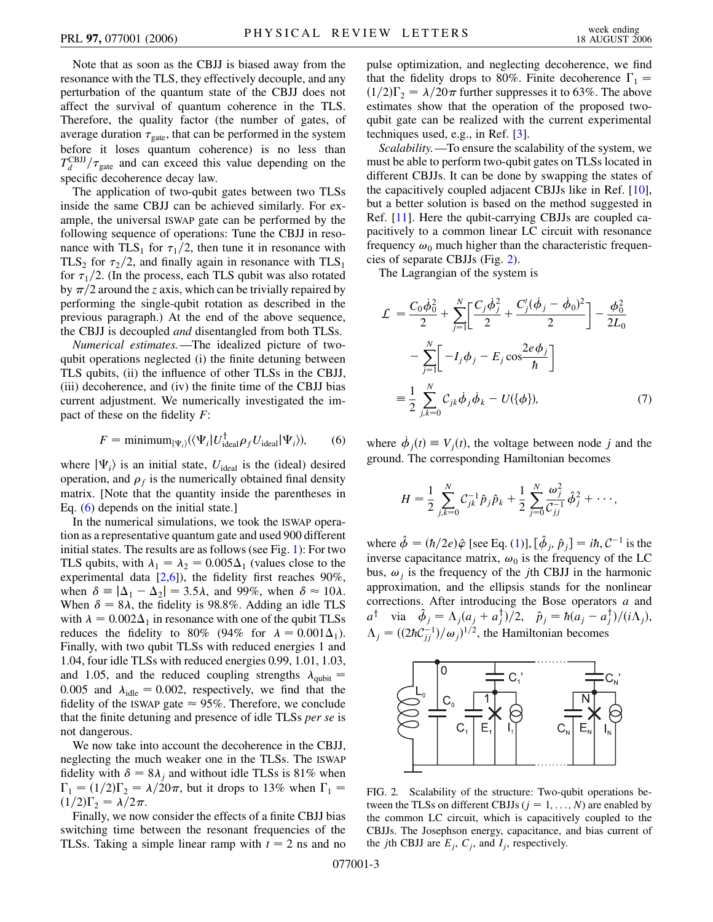Note that as soon as the CBJJ is biased away from the resonance with the TLS, they effectively decouple, and any perturbation of the quantum state of the CBJJ does not affect the survival of quantum coherence in the TLS. Therefore, the quality factor (the number of gates, of average duration  $\tau_{\text{gate}}$ , that can be performed in the system before it loses quantum coherence) is no less than  $T_d^{\text{CBJJ}}/\tau_{\text{gate}}$  and can exceed this value depending on the specific decoherence decay law.

The application of two-qubit gates between two TLSs inside the same CBJJ can be achieved similarly. For example, the universal ISWAP gate can be performed by the following sequence of operations: Tune the CBJJ in resonance with  $TLS_1$  for  $\tau_1/2$ , then tune it in resonance with TLS<sub>2</sub> for  $\tau_2/2$ , and finally again in resonance with TLS<sub>1</sub> for  $\tau_1/2$ . (In the process, each TLS qubit was also rotated by  $\pi/2$  around the *z* axis, which can be trivially repaired by performing the single-qubit rotation as described in the previous paragraph.) At the end of the above sequence, the CBJJ is decoupled *and* disentangled from both TLSs.

*Numerical estimates.*—The idealized picture of twoqubit operations neglected (i) the finite detuning between TLS qubits, (ii) the influence of other TLSs in the CBJJ, (iii) decoherence, and (iv) the finite time of the CBJJ bias current adjustment. We numerically investigated the impact of these on the fidelity *F*:

$$
F = \text{minimum}_{|\Psi_i\rangle} (\langle \Psi_i | U_{\text{ideal}}^{\dagger} \rho_f U_{\text{ideal}} | \Psi_i \rangle), \tag{6}
$$

<span id="page-2-0"></span>where  $|\Psi_i\rangle$  is an initial state,  $U_{\text{ideal}}$  is the (ideal) desired operation, and  $\rho_f$  is the numerically obtained final density matrix. [Note that the quantity inside the parentheses in Eq. ([6\)](#page-2-0) depends on the initial state.]

In the numerical simulations, we took the ISWAP operation as a representative quantum gate and used 900 different initial states. The results are as follows (see Fig. [1](#page-1-1)): For two TLS qubits, with  $\lambda_1 = \lambda_2 = 0.005\Delta_1$  (values close to the experimental data [[2](#page-3-1)[,6\]](#page-3-5)), the fidelity first reaches 90%, when  $\delta = |\Delta_1 - \Delta_2| = 3.5\lambda$ , and 99%, when  $\delta \approx 10\lambda$ . When  $\delta = 8\lambda$ , the fidelity is 98.8%. Adding an idle TLS with  $\lambda = 0.002\Delta_1$  in resonance with one of the qubit TLSs reduces the fidelity to 80% (94% for  $\lambda = 0.001\Delta_1$ ). Finally, with two qubit TLSs with reduced energies 1 and 1.04, four idle TLSs with reduced energies 0.99, 1.01, 1.03, and 1.05, and the reduced coupling strengths  $\lambda_{\text{qubit}} =$ 0.005 and  $\lambda_{\text{idle}} = 0.002$ , respectively, we find that the fidelity of the ISWAP gate  $\approx 95\%$ . Therefore, we conclude that the finite detuning and presence of idle TLSs *per se* is not dangerous.

We now take into account the decoherence in the CBJJ, neglecting the much weaker one in the TLSs. The ISWAP fidelity with  $\delta = 8\lambda_j$  and without idle TLSs is 81% when  $\Gamma_1 = (1/2)\Gamma_2 = \lambda/20\pi$ , but it drops to 13% when  $\Gamma_1 =$  $(1/2)\Gamma_2 = \lambda/2\pi$ .

Finally, we now consider the effects of a finite CBJJ bias switching time between the resonant frequencies of the TLSs. Taking a simple linear ramp with  $t = 2$  ns and no pulse optimization, and neglecting decoherence, we find that the fidelity drops to 80%. Finite decoherence  $\Gamma_1$  =  $(1/2)\Gamma_2 = \lambda/20\pi$  further suppresses it to 63%. The above estimates show that the operation of the proposed twoqubit gate can be realized with the current experimental techniques used, e.g., in Ref. [[3](#page-3-2)].

*Scalability.*—To ensure the scalability of the system, we must be able to perform two-qubit gates on TLSs located in different CBJJs. It can be done by swapping the states of the capacitively coupled adjacent CBJJs like in Ref. [[10\]](#page-3-9), but a better solution is based on the method suggested in Ref. [[11](#page-3-10)]. Here the qubit-carrying CBJJs are coupled capacitively to a common linear LC circuit with resonance frequency  $\omega_0$  much higher than the characteristic frequencies of separate CBJJs (Fig. [2\)](#page-2-1).

The Lagrangian of the system is

$$
\mathcal{L} = \frac{C_0 \dot{\phi}_0^2}{2} + \sum_{j=1}^{N} \left[ \frac{C_j \dot{\phi}_j^2}{2} + \frac{C_j' (\dot{\phi}_j - \dot{\phi}_0)^2}{2} \right] - \frac{\phi_0^2}{2L_0}
$$

$$
- \sum_{j=1}^{N} \left[ -I_j \phi_j - E_j \cos \frac{2e\phi_j}{\hbar} \right]
$$

$$
\equiv \frac{1}{2} \sum_{j,k=0}^{N} C_{jk} \dot{\phi}_j \dot{\phi}_k - U(\{\phi\}), \tag{7}
$$

where  $\dot{\phi}_j(t) \equiv V_j(t)$ , the voltage between node *j* and the ground. The corresponding Hamiltonian becomes

$$
H = \frac{1}{2} \sum_{j,k=0}^{N} C_{jk}^{-1} \hat{p}_j \hat{p}_k + \frac{1}{2} \sum_{j=0}^{N} \frac{\omega_j^2}{C_{jj}^{-1}} \hat{\phi}_j^2 + \cdots,
$$

where  $\hat{\phi} = (\hbar/2e)\hat{\varphi}$  [see Eq. ([1](#page-0-0))],  $[\hat{\phi}_j, \hat{p}_j] = i\hbar, \mathcal{C}^{-1}$  is the inverse capacitance matrix,  $\omega_0$  is the frequency of the LC bus,  $\omega_i$  is the frequency of the *j*th CBJJ in the harmonic approximation, and the ellipsis stands for the nonlinear corrections. After introducing the Bose operators *a* and  $a^{\dagger}$  via  $\hat{\phi}_j = \Lambda_j (a_j + a_j^{\dagger})/2, \quad \hat{p}_j = \hbar (a_j - a_j^{\dagger})/(i\Lambda_j),$  $\Lambda_j = ((2\hbar C_{jj}^{-1})/\omega_j)^{1/2}$ , the Hamiltonian becomes

<span id="page-2-1"></span>

FIG. 2. Scalability of the structure: Two-qubit operations between the TLSs on different CBJJs  $(j = 1, \ldots, N)$  are enabled by the common LC circuit, which is capacitively coupled to the CBJJs. The Josephson energy, capacitance, and bias current of the *j*th CBJJ are  $E_j$ ,  $C_j$ , and  $I_j$ , respectively.